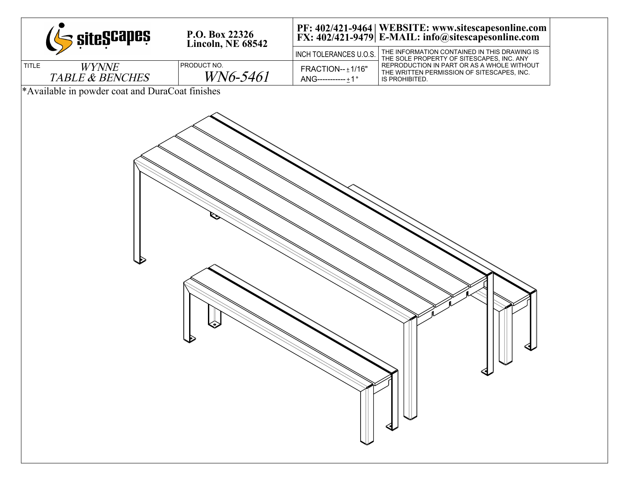